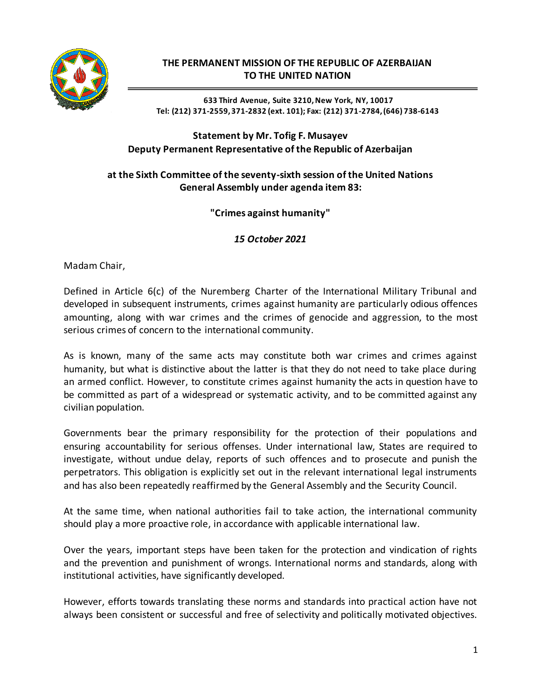

## **THE PERMANENT MISSION OF THE REPUBLIC OF AZERBAIJAN TO THE UNITED NATION**

**633 Third Avenue, Suite 3210,New York, NY, 10017 Tel: (212) 371-2559, 371-2832 (ext. 101); Fax: (212) 371-2784, (646) 738-6143**

## **Statement by Mr. Tofig F. Musayev Deputy Permanent Representative of the Republic of Azerbaijan**

## **at the Sixth Committee of the seventy-sixth session of the United Nations General Assembly under agenda item 83:**

**"Crimes against humanity"**

*15 October 2021*

Madam Chair,

Defined in Article 6(c) of the Nuremberg Charter of the International Military Tribunal and developed in subsequent instruments, crimes against humanity are particularly odious offences amounting, along with war crimes and the crimes of genocide and aggression, to the most serious crimes of concern to the international community.

As is known, many of the same acts may constitute both war crimes and crimes against humanity, but what is distinctive about the latter is that they do not need to take place during an armed conflict. However, to constitute crimes against humanity the acts in question have to be committed as part of a widespread or systematic activity, and to be committed against any civilian population.

Governments bear the primary responsibility for the protection of their populations and ensuring accountability for serious offenses. Under international law, States are required to investigate, without undue delay, reports of such offences and to prosecute and punish the perpetrators. This obligation is explicitly set out in the relevant international legal instruments and has also been repeatedly reaffirmed by the General Assembly and the Security Council.

At the same time, when national authorities fail to take action, the international community should play a more proactive role, in accordance with applicable international law.

Over the years, important steps have been taken for the protection and vindication of rights and the prevention and punishment of wrongs. International norms and standards, along with institutional activities, have significantly developed.

However, efforts towards translating these norms and standards into practical action have not always been consistent or successful and free of selectivity and politically motivated objectives.